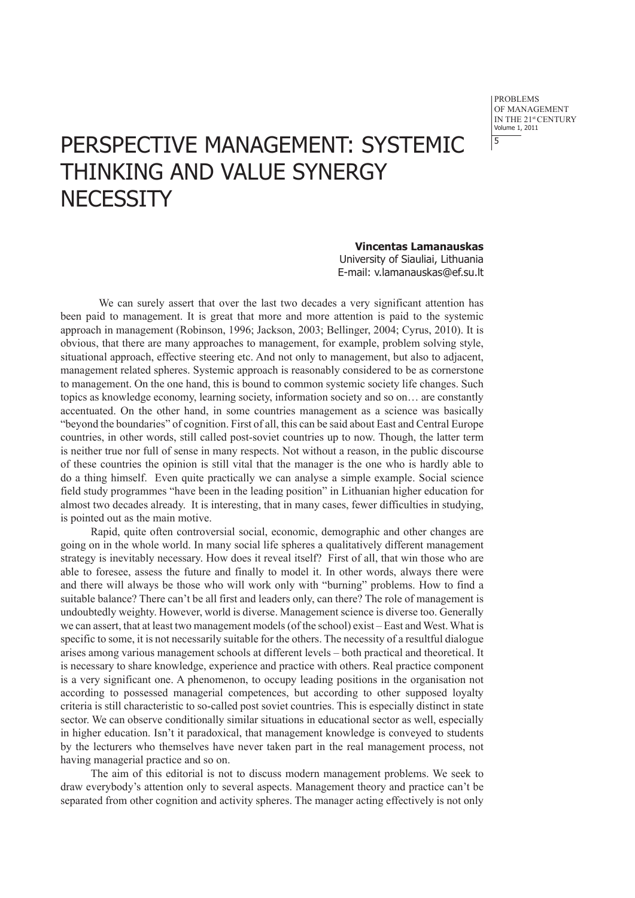problems of Management IN THE 21st CENTURY Volume 1, 2011 5

## PERSPECTIVE MANAGEMENT: SYSTEMIC THINKING AND VALUE SYNERGY **NECESSITY**

**Vincentas Lamanauskas** University of Siauliai, Lithuania E-mail: v.lamanauskas@ef.su.lt

We can surely assert that over the last two decades a very significant attention has been paid to management. It is great that more and more attention is paid to the systemic approach in management (Robinson, 1996; Jackson, 2003; Bellinger, 2004; Cyrus, 2010). It is obvious, that there are many approaches to management, for example, problem solving style, situational approach, effective steering etc. And not only to management, but also to adjacent, management related spheres. Systemic approach is reasonably considered to be as cornerstone to management. On the one hand, this is bound to common systemic society life changes. Such topics as knowledge economy, learning society, information society and so on… are constantly accentuated. On the other hand, in some countries management as a science was basically "beyond the boundaries" of cognition. First of all, this can be said about East and Central Europe countries, in other words, still called post-soviet countries up to now. Though, the latter term is neither true nor full of sense in many respects. Not without a reason, in the public discourse of these countries the opinion is still vital that the manager is the one who is hardly able to do a thing himself. Even quite practically we can analyse a simple example. Social science field study programmes "have been in the leading position" in Lithuanian higher education for almost two decades already. It is interesting, that in many cases, fewer difficulties in studying, is pointed out as the main motive.

Rapid, quite often controversial social, economic, demographic and other changes are going on in the whole world. In many social life spheres a qualitatively different management strategy is inevitably necessary. How does it reveal itself? First of all, that win those who are able to foresee, assess the future and finally to model it. In other words, always there were and there will always be those who will work only with "burning" problems. How to find a suitable balance? There can't be all first and leaders only, can there? The role of management is undoubtedly weighty. However, world is diverse. Management science is diverse too. Generally we can assert, that at least two management models (of the school) exist – East and West. What is specific to some, it is not necessarily suitable for the others. The necessity of a resultful dialogue arises among various management schools at different levels – both practical and theoretical. It is necessary to share knowledge, experience and practice with others. Real practice component is a very significant one. A phenomenon, to occupy leading positions in the organisation not according to possessed managerial competences, but according to other supposed loyalty criteria is still characteristic to so-called post soviet countries. This is especially distinct in state sector. We can observe conditionally similar situations in educational sector as well, especially in higher education. Isn't it paradoxical, that management knowledge is conveyed to students by the lecturers who themselves have never taken part in the real management process, not having managerial practice and so on.

The aim of this editorial is not to discuss modern management problems. We seek to draw everybody's attention only to several aspects. Management theory and practice can't be separated from other cognition and activity spheres. The manager acting effectively is not only